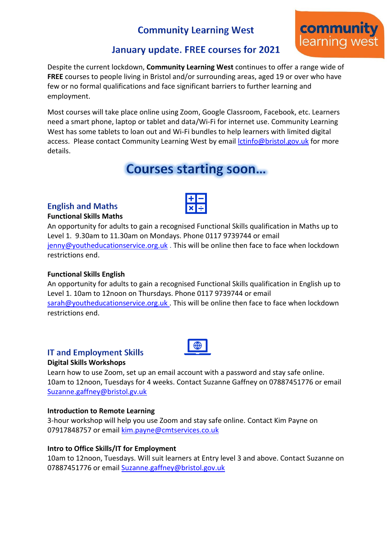# **Community Learning West**



## January update. FREE courses for 2021

Despite the current lockdown, **Community Learning West** continues to offer a range wide of **FREE** courses to people living in Bristol and/or surrounding areas, aged 19 or over who have few or no formal qualifications and face significant barriers to further learning and employment.

Most courses will take place online using Zoom, Google Classroom, Facebook, etc. Learners need a smart phone, laptop or tablet and data/Wi-Fi for internet use. Community Learning West has some tablets to loan out and Wi-Fi bundles to help learners with limited digital access. Please contact Community Learning West by email [lctinfo@bristol.gov.uk](mailto:lctinfo@bristol.gov.uk) for more details.

# **Courses starting soon...**

### **English and Maths**

### **Functional Skills Maths**



### **Functional Skills English**

An opportunity for adults to gain a recognised Functional Skills qualification in English up to Level 1. 10am to 12noon on Thursdays. Phone 0117 9739744 or email [sarah@youtheducationservice.org.uk](mailto:sarah@youtheducationservice.org.uk) . This will be online then face to face when lockdown restrictions end.

### **IT and Employment Skills**

### **Digital Skills Workshops**

Learn how to use Zoom, set up an email account with a password and stay safe online. 10am to 12noon, Tuesdays for 4 weeks. Contact Suzanne Gaffney on 07887451776 or email [Suzanne.gaffney@bristol.gv.uk](mailto:Suzanne.gaffney@bristol.gv.uk)

### **Introduction to Remote Learning**

3-hour workshop will help you use Zoom and stay safe online. Contact Kim Payne on 07917848757 or email [kim.payne@cmtservices.co.uk](mailto:kim.payne@cmtservices.co.uk)

### **Intro to Office Skills/IT for Employment**

10am to 12noon, Tuesdays. Will suit learners at Entry level 3 and above. Contact Suzanne on 07887451776 or email [Suzanne.gaffney@bristol.gov.uk](mailto:Suzanne.gaffney@bristol.gov.uk)

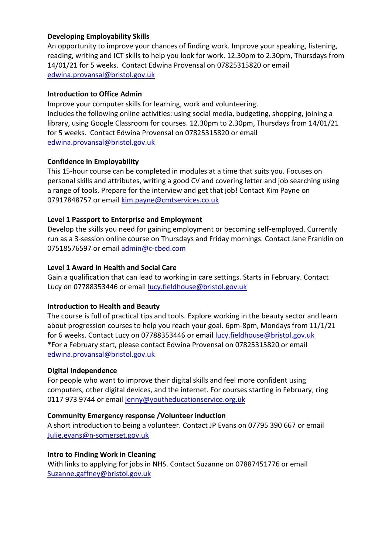### **Developing Employability Skills**

An opportunity to improve your chances of finding work. Improve your speaking, listening, reading, writing and ICT skills to help you look for work. 12.30pm to 2.30pm, Thursdays from 14/01/21 for 5 weeks. Contact Edwina Provensal on 07825315820 or email [edwina.provansal@bristol.gov.uk](mailto:edwina.provansal@bristol.gov.uk)

### **Introduction to Office Admin**

Improve your computer skills for learning, work and volunteering. Includes the following online activities: using social media, budgeting, shopping, joining a library, using Google Classroom for courses. 12.30pm to 2.30pm, Thursdays from 14/01/21 for 5 weeks. Contact Edwina Provensal on 07825315820 or email [edwina.provansal@bristol.gov.uk](mailto:edwina.provansal@bristol.gov.uk)

### **Confidence in Employability**

This 15-hour course can be completed in modules at a time that suits you. Focuses on personal skills and attributes, writing a good CV and covering letter and job searching using a range of tools. Prepare for the interview and get that job! Contact Kim Payne on 07917848757 or email [kim.payne@cmtservices.co.uk](mailto:kim.payne@cmtservices.co.uk)

### **Level 1 Passport to Enterprise and Employment**

Develop the skills you need for gaining employment or becoming self-employed. Currently run as a 3-session online course on Thursdays and Friday mornings. Contact Jane Franklin on 07518576597 or email [admin@c-cbed.com](mailto:admin@c-cbed.com)

### **Level 1 Award in Health and Social Care**

Gain a qualification that can lead to working in care settings. Starts in February. Contact Lucy on 07788353446 or email [lucy.fieldhouse@bristol.gov.uk](mailto:lucy.fieldhouse@bristol.gov.uk)

### **Introduction to Health and Beauty**

The course is full of practical tips and tools. Explore working in the beauty sector and learn about progression courses to help you reach your goal. 6pm-8pm, Mondays from 11/1/21 for 6 weeks. Contact Lucy on 07788353446 or email [lucy.fieldhouse@bristol.gov.uk](mailto:lucy.fieldhouse@bristol.gov.uk) \*For a February start, please contact Edwina Provensal on 07825315820 or email [edwina.provansal@bristol.gov.uk](mailto:edwina.provansal@bristol.gov.uk)

### **Digital Independence**

For people who want to improve their digital skills and feel more confident using computers, other digital devices, and the internet. For courses starting in February, ring 0117 973 9744 or email [jenny@youtheducationservice.org.uk](mailto:jenny@youtheducationservice.org.uk)

### **Community Emergency response /Volunteer induction**

A short introduction to being a volunteer. Contact JP Evans on 07795 390 667 or email [Julie.evans@n-somerset.gov.uk](mailto:Julie.evans@n-somerset.gov.uk)

### **Intro to Finding Work in Cleaning**

With links to applying for jobs in NHS. Contact Suzanne on 07887451776 or email [Suzanne.gaffney@bristol.gov.uk](mailto:Suzanne.gaffney@bristol.gov.uk)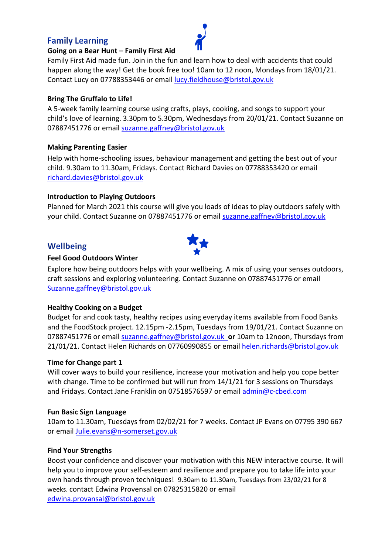### **Family Learning**



### **Going on a Bear Hunt – Family First Aid**

Family First Aid made fun. Join in the fun and learn how to deal with accidents that could happen along the way! Get the book free too! 10am to 12 noon, Mondays from 18/01/21. Contact Lucy on 07788353446 or email [lucy.fieldhouse@bristol.gov.uk](mailto:lucy.fieldhouse@bristol.gov.uk)

### **Bring The Gruffalo to Life!**

A 5-week family learning course using crafts, plays, cooking, and songs to support your child's love of learning. 3.30pm to 5.30pm, Wednesdays from 20/01/21. Contact Suzanne on 07887451776 or email [suzanne.gaffney@bristol.gov.uk](mailto:suzanne.gaffney@bristol.gov.uk)

### **Making Parenting Easier**

Help with home-schooling issues, behaviour management and getting the best out of your child. 9.30am to 11.30am, Fridays. Contact Richard Davies on 07788353420 or email [richard.davies@bristol.gov.uk](mailto:richard.davies@bristol.gov.uk)

### **Introduction to Playing Outdoors**

Planned for March 2021 this course will give you loads of ideas to play outdoors safely with your child. Contact Suzanne on 07887451776 or email [suzanne.gaffney@bristol.gov.uk](mailto:suzanne.gaffney@bristol.gov.uk)

### **Wellbeing**



### **Feel Good Outdoors Winter**

Explore how being outdoors helps with your wellbeing. A mix of using your senses outdoors, craft sessions and exploring volunteering. Contact Suzanne on 07887451776 or email [Suzanne.gaffney@bristol.gov.uk](mailto:Suzanne.gaffney@bristol.gov.uk)

### **Healthy Cooking on a Budget**

Budget for and cook tasty, healthy recipes using everyday items available from Food Banks and the FoodStock project. 12.15pm -2.15pm, Tuesdays from 19/01/21. Contact Suzanne on 07887451776 or email [suzanne.gaffney@bristol.gov.uk](mailto:suzanne.gaffney@bristol.gov.uk) **or** 10am to 12noon, Thursdays from 21/01/21. Contact Helen Richards on 07760990855 or email [helen.richards@bristol.gov.uk](mailto:helen.richards@bristol.gov.uk)

### **Time for Change part 1**

Will cover ways to build your resilience, increase your motivation and help you cope better with change. Time to be confirmed but will run from  $14/1/21$  for 3 sessions on Thursdays and Fridays. Contact Jane Franklin on 07518576597 or email [admin@c-cbed.com](mailto:admin@c-cbed.com)

### **Fun Basic Sign Language**

10am to 11.30am, Tuesdays from 02/02/21 for 7 weeks. Contact JP Evans on 07795 390 667 or emai[l Julie.evans@n-somerset.gov.uk](mailto:Julie.evans@n-somerset.gov.uk)

### **Find Your Strengths**

Boost your confidence and discover your motivation with this NEW interactive course. It will help you to improve your self-esteem and resilience and prepare you to take life into your own hands through proven techniques! 9.30am to 11.30am, Tuesdays from 23/02/21 for 8 weeks. contact Edwina Provensal on 07825315820 or email [edwina.provansal@bristol.gov.uk](mailto:edwina.provansal@bristol.gov.uk)